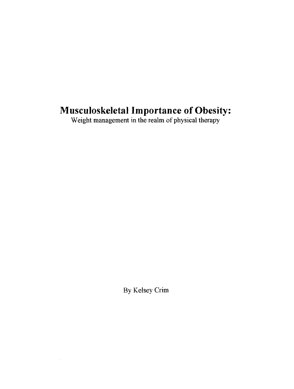# **Musculoskeletal Importance of Obesity:**

Weight management in the realm of physical therapy

By Kelsey Crim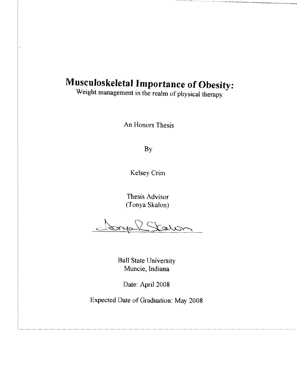# **Musculoskeletal Importance of Obesity:**

Weight management in the realm of physical therapy

An Honors Thesis

By

Kelsey Crim

Thesis Advisor (Tonya Skalon)

Station

Ball State University Muncie, Indiana

Date: April 2008

Expected Date of Graduation: May 2008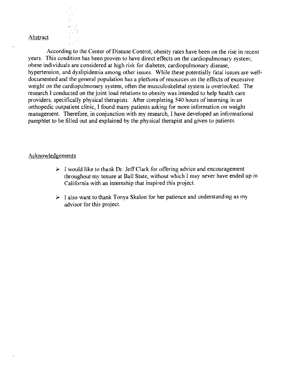#### Abstract

According to the Center of Disease Control, obesity rates have been on the rise in recent years. This condition has been proven to have direct effects on the cardiopulmonary system; obese individuals are considered at high risk for diabetes, cardiopulmonary disease, hypertension, and dyslipidemia among other issues. While these potentially fatal issues are welldocumented and the general population has a plethora of resources on the effects of excessive weight on the cardiopulmonary system, often the musculoskeletal system is overlooked. The research I conducted on the joint load relations to obesity was intended to help health care providers, specifically physical therapists. After completing 540 hours of interning in an orthopedic outpatient clinic, I found many patients asking for more information on weight management. Therefore, in conjunction with my research, I have developed an informational pamphlet to be tilled out and explained by the physical therapist and given to patients.

#### Acknowledgements

- $\triangleright$  I would like to thank Dr. Jeff Clark for offering advice and encouragement throughout my tenure at Ball State, without which I may never have ended up in California with an internship that inspired this project.
- $\triangleright$  I also want to thank Tonya Skalon for her patience and understanding as my advisor for this project.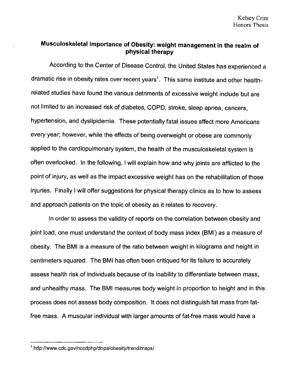# **Musculoskeletal Importance of Obesity: weight management in the realm of physical therapy**

According to the Center of Disease Control, the United States has experienced a dramatic rise in obesity rates over recent years<sup>1</sup>. This same institute and other healthrelated studies have found the various detriments of excessive weight include but are not limited to an increased risk of diabetes, COPD, stroke, sleep apnea, cancers, hypertension, and dyslipidemia. These potentially fatal issues affect more Americans every year; however, while the effects of being overweight or obese are commonly applied to the cardiopulmonary system, the health of the musculoskeletal system is often overlooked. In the following, I will explain how and why joints are afflicted to the point of injury, as well as the impact excessive weight has on the rehabilitation of those injuries. Finally I will offer suggestions for physical therapy clinics as to how to assess and approach patients on the topic of obesity as it relates to recovery.

In order to assess the validity of reports on the correlation between obesity and joint load, one must understand the context of body mass index (BMI) as a measure of obesity. The 8MI is a measure of the ratio between weight in kilograms and height in centimeters squared. The 8MI has often been critiqued for its failure to accurately assess health risk of individuals because of its inability to differentiate between mass, and unhealthy mass. The 8MI measures body weight in proportion to height and in this process does not assess body composition. It does not distinguish fat mass from fatfree mass. A muscular individual with larger amounts of fat-free mass would have a

I http://www.cdc.gov/nccdphp/dnpa/obesity/trend/maps/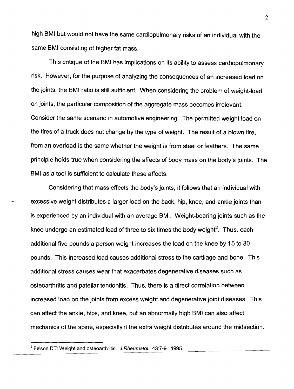high BMI but would not have the same cardiopulmonary risks of an individual with the same BMI consisting of higher fat mass.

This critique of the BMI has implications on its ability to assess cardiopulmonary risk. However, for the purpose of analyzing the consequences of an increased load on the joints, the BMI ratio is still sufficient. When considering the problem of weight-load on joints, the particular composition of the aggregate mass becomes irrelevant. Consider the same scenario in automotive engineering. The permitted weight load on the tires of a truck does not change by the type of weight. The result of a blown tire, from an overload is the same whether the weight is from steel or feathers. The same principle holds true when considering the affects of body mass on the body's joints. The BMI as a tool is sufficient to calculate these affects.

Considering that mass effects the body's joints, it follows that an individual with excessive weight distributes a larger load on the back, hip, knee, and ankle joints than is experienced by an individual with an average BM!. Weight-bearing joints such as the knee undergo an estimated load of three to six times the body weight<sup>2</sup>. Thus, each additional five pounds a person weight increases the load on the knee by 15 to 30 pounds. This increased load causes additional stress to the cartilage and bone. This additional stress causes wear that exacerbates degenerative diseases such as osteoarthritis and patellar tendonitis. Thus, there is a direct correlation between increased load on the joints from excess weight and degenerative joint diseases. This can affect the ankle, hips, and knee, but an abnormally high BMI can also affect mechanics of the spine, especially if the extra weight distributes around the midsection.

2

 $2$  Felson DT: Weight and osteoarthritis. J.Rheumatol. 43:7-9. 1995.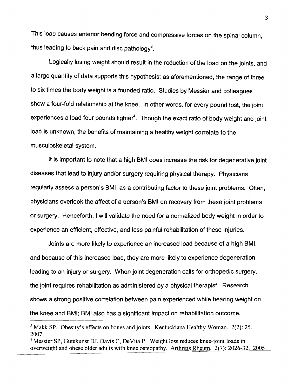This load causes anterior bending force and compressive forces on the spinal column, thus leading to back pain and disc pathology<sup>3</sup>.

Logically losing weight should result in the reduction of the load on the joints, and a large quantity of data supports this hypothesis; as aforementioned, the range of three to six times the body weight is a founded ratio. Studies by Messier and colleagues show a four-fold relationship at the knee. In other words, for every pound lost, the joint experiences a load four pounds lighter<sup>4</sup>. Though the exact ratio of body weight and joint load is unknown, the benefits of maintaining a healthy weight correlate to the musculoskeletal system.

It is important to note that a high BMI does increase the risk for degenerative joint diseases that lead to injury and/or surgery requiring physical therapy. Physicians regularly assess a person's BMI, as a contributing factor to these joint problems. Often, physicians overlook the affect of a person's BMI on recovery from these joint problems or surgery. Henceforth, I will validate the need for a normalized body weight in order to experience an efficient, effective, and less painful rehabilitation of these injuries.

Joints are more likely to experience an increased load because of a high BMI, and because of this increased load, they are more likely to experience degeneration leading to an injury or surgery. When joint degeneration calls for orthopedic surgery, the joint requires rehabilitation as administered by a physical therapist. Research shows a strong positive correlation between pain experienced while bearing weight on the knee and BMI; BMI also has a significant impact on rehabilitation outcome.

 $3$  Makk SP. Obesity's effects on bones and joints. Kentuckiana Healthy Woman. 2(2): 25. 2007

<sup>&</sup>lt;sup>4</sup> Messier SP, Gutekunst DJ, Davis C, DeVita P. Weight loss reduces knee-joint loads in overweight and obese older adults with knee osteopathy. Arthritis Rheum. 2(7): 2026-32. 2005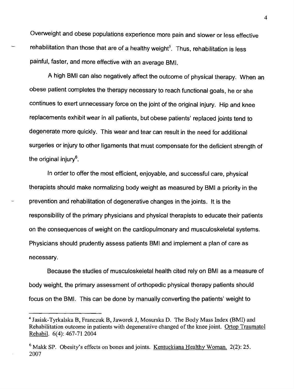Overweight and obese populations experience more pain and slower or less effective rehabilitation than those that are of a healthy weight<sup>5</sup>. Thus, rehabilitation is less painful, faster, and more effective with an average BMI.

A high BMI can also negatively affect the outcome of physical therapy. When an obese patient completes the therapy necessary to reach functional goals, he or she continues to exert unnecessary force on the joint of the original injury. Hip and knee replacements exhibit wear in all patients, but obese patients' replaced joints tend to degenerate more quickly. This wear and tear can result in the need for additional surgeries or injury to other ligaments that must compensate for the deficient strength of the original injury $6$ .

In order to offer the most efficient, enjoyable, and successful care, physical therapists should make normalizing body weight as measured by BMI a priority in the prevention and rehabilitation of degenerative changes in the joints. It is the responsibility of the primary physicians and physical therapists to educate their patients on the consequences of weight on the cardiopulmonary and musculoskeletal systems. Physicians should prudently assess patients BMI and implement a plan of care as necessary.

Because the studies of musculoskeletal health cited rely on BMI as a measure of body weight, the primary assessment of orthopedic physical therapy patients should focus on the 8MI. This can be done by manually converting the patients' weight to

<sup>4</sup>Jasiak-Tyrkalska B, Franczuk B, Jaworek J, Mosurska D. The Body Mass Index (BMI) and Rehabilitation outcome in patients with degenerative changed of the knee joint. Ortop Traumatol Rehabil. 6(4): 467-71 2004

 $6$  Makk SP. Obesity's effects on bones and joints. Kentuckiana Healthy Woman. 2(2): 25. 2007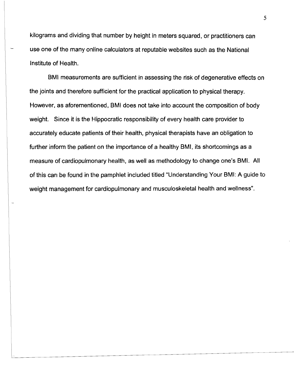kilograms and dividing that number by height in meters squared, or practitioners can use one of the many online calculators at reputable websites such as the National Institute of Health.

8MI measurements are sufficient in assessing the risk of degenerative effects on the joints and therefore sufficient for the practical application to physical therapy. However, as aforementioned, 8MI does not take into account the composition of body weight. Since it is the Hippocratic responsibility of every health care provider to accurately educate patients of their health, physical therapists have an obligation to further inform the patient on the importance of a healthy 8MI, its shortcomings as a measure of cardiopulmonary health, as well as methodology to change one's 8MI. All of this can be found in the pamphlet included titled "Understanding Your 8MI: A guide to weight management for cardiopulmonary and musculoskeletal health and wellness".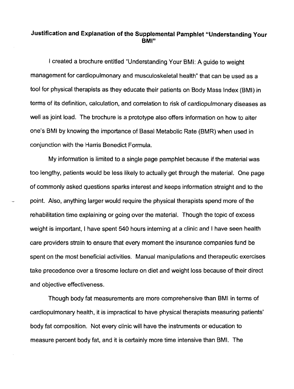## **Justification and Explanation of the Supplemental Pamphlet "Understanding Your BMI"**

I created a brochure entitled "Understanding Your BMI: A guide to weight management for cardiopulmonary and musculoskeletal health" that can be used as a tool for physical therapists as they educate their patients on Body Mass Index (BMI) in terms of its definition, calculation, and correlation to risk of cardiopulmonary diseases as well as joint load. The brochure is a prototype also offers information on how to alter one's BMI by knowing the importance of Basal Metabolic Rate (BMR) when used in conjunction with the Harris Benedict Formula.

My information is limited to a single page pamphlet because if the material was too lengthy, patients would be less likely to actually get through the material. One page of commonly asked questions sparks interest and keeps information straight and to the point. Also, anything larger would require the physical therapists spend more of the rehabilitation time explaining or going over the material. Though the topic of excess weight is important, I have spent 540 hours interning at a clinic and I have seen health care providers strain to ensure that every moment the insurance companies fund be spent on the most beneficial activities. Manual manipulations and therapeutic exercises take precedence over a tiresome lecture on diet and weight loss because of their direct and objective effectiveness.

Though body fat measurements are more comprehensive than BMI in terms of cardiopulmonary health, it is impractical to have physical therapists measuring patients' body fat composition. Not every clinic will have the instruments or education to measure percent body fat, and it is certainly more time intensive than BMI. The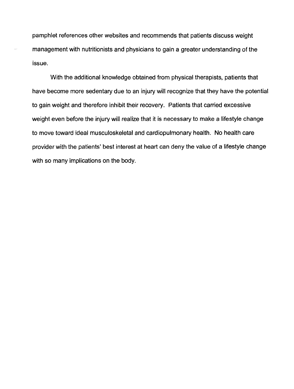pamphlet references other websites and recommends that patients discuss weight management with nutritionists and physicians to gain a greater understanding of the issue.

With the additional knowledge obtained from physical therapists, patients that have become more sedentary due to an injury will recognize that they have the potential to gain weight and therefore inhibit their recovery. Patients that carried excessive weight even before the injury will realize that it is necessary to make a lifestyle change to move toward ideal musculoskeletal and cardiopulmonary health. No health care provider with the patients' best interest at heart can deny the value of a lifestyle change with so many implications on the body.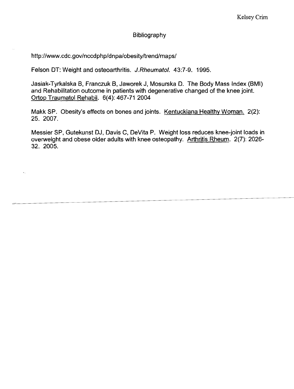### Bibliography

http://www.cdc.gov/nccdphp/dnpa/obesity/trend/maps/

Felson DT: Weight and osteoarthritis. J.Rheumatol. 43:7-9. 1995.

Jasiak-Tyrkalska B, Franczuk B, Jaworek J, Mosurska D. The Body Mass Index (BMI) and Rehabilitation outcome in patients with degenerative changed of the knee joint. Ortop Traumatol Rehabil. 6(4): 467-71 2004

Makk SP. Obesity's effects on bones and joints. Kentuckiana Healthy Woman. 2(2): 25. 2007.

Messier SP, Gutekunst OJ, Davis C, DeVita P. Weight loss reduces knee-joint loads in overweight and obese older adults with knee osteopathy. Arthritis Rheum. 2(7): 2026· 32. 2005.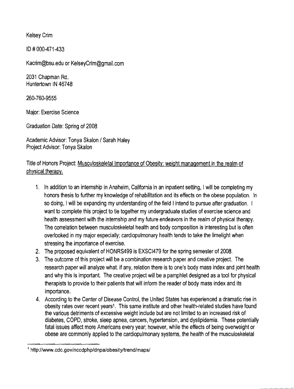Kelsey Crim

<sup>10</sup># 000-471-433

Kacrim@bsu.edu or KelseyCrim@gmail.com

2031 Chapman Rd. Huntertown IN 46748

260-760-9555

Major: Exercise Science

Graduation Date: Spring of 2008

Academic Advisor: Tonya Skalon / Sarah Haley Project Advisor: Tonya Skalon

Title of Honors Project: Musculoskeletal Importance of Obesity: weight management in the realm of physical therapy.

- 1. In addition to an internship in Anaheim, California in an inpatient setting, I will be completing my honors thesis to further my knowledge of rehabilitation and its effects on the obese population. In so doing, I will be expanding my understanding of the field I intend to pursue after graduation. I want to complete this project to tie together my undergraduate studies of exercise science and health assessment with the internship and my future endeavors in the realm of physical therapy. The correlation between musculoskeletal health and body composition is interesting but is often overlooked in my major especially; cardiopulmonary health tends to take the limelight when stressing the importance of exercise.
- 2. The proposed equivalent of HONRS499 is EXSCI479 for the spring semester of 2008.
- 3. The outcome of this project will be a combination research paper and creative project. The research paper will analyze what, if any, relation there is to one's body mass index and joint health and why this is important. The creative project will be a pamphlet designed as a tool for physical therapists to provide to their patients that will inform the reader of body mass index and its importance.
- 4. According to the Center of Disease Control, the United States has experienced a dramatic rise in obesity rates over recent years<sup>1</sup>. This same institute and other health-related studies have found the various detriments of excessive weight include but are not limited to an increased risk of diabetes, COPD, stroke, sleep apnea, cancers, hypertension, and dyslipidemia. These potentially fatal issues affect more Americans every year; however, while the effects of being overweight or obese are commonly applied to the cardiopulmonary systems, the health of the musculoskeletal

I http://www.cdc.gov/nccdphp/dnpa/obesity/trend/maps/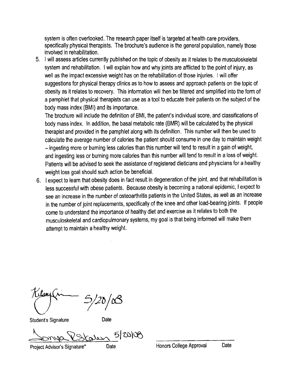system is often overlooked. The research paper itself is targeted at health care providers, specifically physical therapists. The brochure's audience is the general population, namely those involved in rehabilitation.

5. I will assess articles currently published on the topic of obesity as it relates to the musculoskeletal system and rehabilitation. I will explain how and why joints are afflicted to the point of injury, as well as the impact excessive weight has on the rehabilitation of those injuries. I will offer suggestions for physical therapy clinics as to how to assess and approach patients on the topic of obesity as it relates to recovery. This information will then be filtered and simplified into the form of a pamphlet that physical therapists can use as a tool to educate their patients on the subject of the body mass index (8MI) and its importance.

The brochure will include the definition of BMI, the patient's individual score, and classifications of body mass index. In addition, the basal metabolic rate (BMR) will be calculated by the physical therapist and provided in the pamphlet along with its definition. This number will then be used to calculate the average number of calories the patient should consume in one day to maintain weight - ingesting more or burning less calories than this number will tend to result in a gain of weight, and ingesting less or burning more calories than this number will tend to result in a loss of weight. Patients will be advised to seek the assistance of registered dieticians and physicians for a healthy weight loss goal should such action be beneficial.

6. I expect to learn that obesity does in fact result in degeneration of the joint. and that rehabilitation is less successful with obese patients. Because obesity is becoming a national epidemic, I expect to see an increase in the number of osteoarthritis patients in the United States, as well as an increase in the number of joint replacements, specifically of the knee and other load-bearing joints. If people come to understand the importance of healthy diet and exercise as it relates to both the musculoskeletal and cardiopulmonary systems, my goal is that being informed will make them attempt to maintain a healthy weight.

 $\left/ \angle 0 \right/$ 

Student's Signature Date

OURS 5/20100

Project Advisor's Signature\* Date Honors College Approval Date